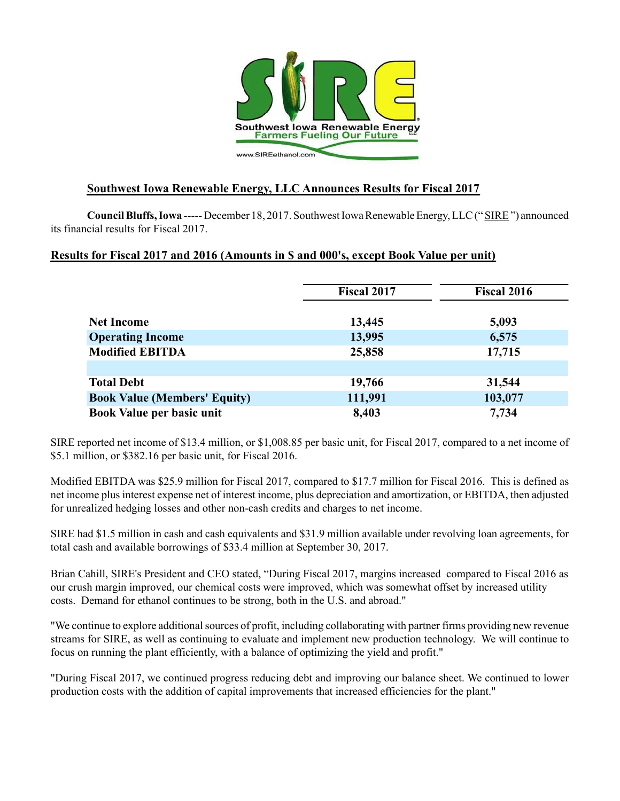

# **Southwest Iowa Renewable Energy, LLC Announces Results for Fiscal 2017**

**Council Bluffs, Iowa** ----- December 18, 2017. Southwest Iowa Renewable Energy, LLC (" SIRE") announced its financial results for Fiscal 2017.

### **Results for Fiscal 2017 and 2016 (Amounts in \$ and 000's, except Book Value per unit)**

|                                     | <b>Fiscal 2017</b> | <b>Fiscal 2016</b> |  |  |
|-------------------------------------|--------------------|--------------------|--|--|
| <b>Net Income</b>                   | 13,445             | 5,093              |  |  |
| <b>Operating Income</b>             | 13,995             | 6,575              |  |  |
| <b>Modified EBITDA</b>              | 25,858             | 17,715             |  |  |
|                                     |                    |                    |  |  |
| <b>Total Debt</b>                   | 19,766             | 31,544             |  |  |
| <b>Book Value (Members' Equity)</b> | 111,991            | 103,077            |  |  |
| Book Value per basic unit           | 8,403              | 7,734              |  |  |

SIRE reported net income of \$13.4 million, or \$1,008.85 per basic unit, for Fiscal 2017, compared to a net income of \$5.1 million, or \$382.16 per basic unit, for Fiscal 2016.

Modified EBITDA was \$25.9 million for Fiscal 2017, compared to \$17.7 million for Fiscal 2016. This is defined as net income plus interest expense net of interest income, plus depreciation and amortization, or EBITDA, then adjusted for unrealized hedging losses and other non-cash credits and charges to net income.

SIRE had \$1.5 million in cash and cash equivalents and \$31.9 million available under revolving loan agreements, for total cash and available borrowings of \$33.4 million at September 30, 2017.

Brian Cahill, SIRE's President and CEO stated, "During Fiscal 2017, margins increased compared to Fiscal 2016 as our crush margin improved, our chemical costs were improved, which was somewhat offset by increased utility costs. Demand for ethanol continues to be strong, both in the U.S. and abroad."

"We continue to explore additional sources of profit, including collaborating with partner firms providing new revenue streams for SIRE, as well as continuing to evaluate and implement new production technology. We will continue to focus on running the plant efficiently, with a balance of optimizing the yield and profit."

"During Fiscal 2017, we continued progress reducing debt and improving our balance sheet. We continued to lower production costs with the addition of capital improvements that increased efficiencies for the plant."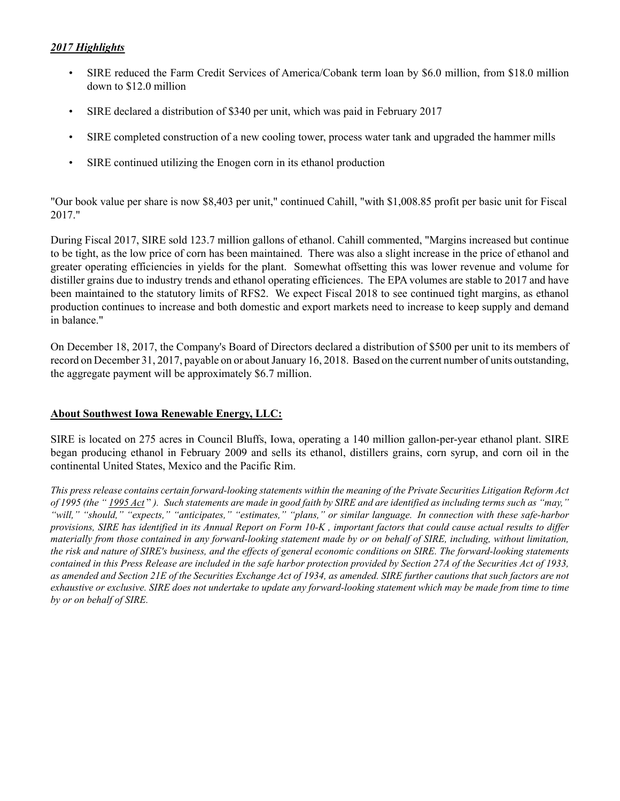### *2017 Highlights*

- SIRE reduced the Farm Credit Services of America/Cobank term loan by \$6.0 million, from \$18.0 million down to \$12.0 million
- SIRE declared a distribution of \$340 per unit, which was paid in February 2017
- SIRE completed construction of a new cooling tower, process water tank and upgraded the hammer mills
- SIRE continued utilizing the Enogen corn in its ethanol production

"Our book value per share is now \$8,403 per unit," continued Cahill, "with \$1,008.85 profit per basic unit for Fiscal 2017."

During Fiscal 2017, SIRE sold 123.7 million gallons of ethanol. Cahill commented, "Margins increased but continue to be tight, as the low price of corn has been maintained. There was also a slight increase in the price of ethanol and greater operating efficiencies in yields for the plant. Somewhat offsetting this was lower revenue and volume for distiller grains due to industry trends and ethanol operating efficiences. The EPA volumes are stable to 2017 and have been maintained to the statutory limits of RFS2. We expect Fiscal 2018 to see continued tight margins, as ethanol production continues to increase and both domestic and export markets need to increase to keep supply and demand in balance."

On December 18, 2017, the Company's Board of Directors declared a distribution of \$500 per unit to its members of record on December 31, 2017, payable on or about January 16, 2018. Based on the current number of units outstanding, the aggregate payment will be approximately \$6.7 million.

### **About Southwest Iowa Renewable Energy, LLC:**

SIRE is located on 275 acres in Council Bluffs, Iowa, operating a 140 million gallon-per-year ethanol plant. SIRE began producing ethanol in February 2009 and sells its ethanol, distillers grains, corn syrup, and corn oil in the continental United States, Mexico and the Pacific Rim.

*This press release contains certain forward-looking statements within the meaning of the Private Securities Litigation Reform Act of 1995 (the " 1995 Act* " *). Such statements are made in good faith by SIRE and are identified as including terms such as "may," "will," "should," "expects," "anticipates," "estimates," "plans," or similar language. In connection with these safe-harbor provisions, SIRE has identified in its Annual Report on Form 10-K , important factors that could cause actual results to differ materially from those contained in any forward-looking statement made by or on behalf of SIRE, including, without limitation, the risk and nature of SIRE's business, and the effects of general economic conditions on SIRE. The forward-looking statements contained in this Press Release are included in the safe harbor protection provided by Section 27A of the Securities Act of 1933, as amended and Section 21E of the Securities Exchange Act of 1934, as amended. SIRE further cautions that such factors are not exhaustive or exclusive. SIRE does not undertake to update any forward-looking statement which may be made from time to time by or on behalf of SIRE.*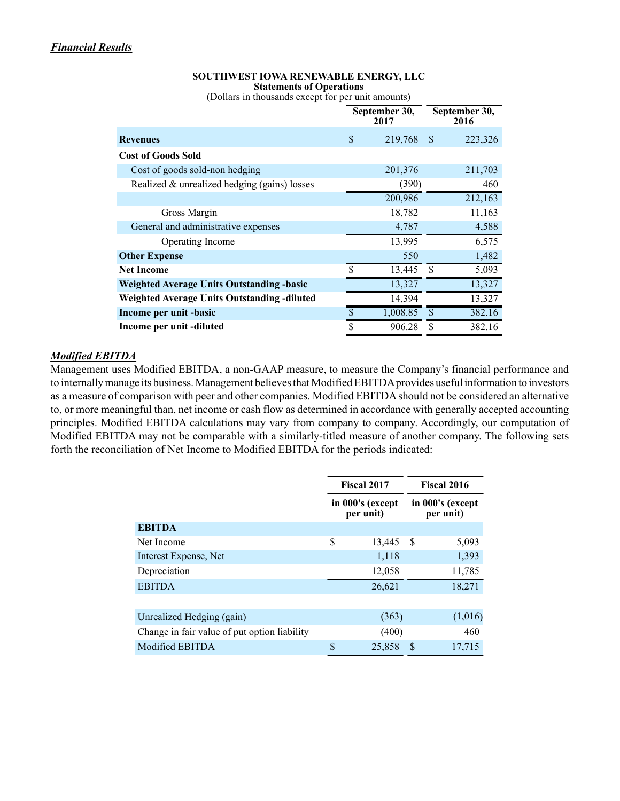#### **SOUTHWEST IOWA RENEWABLE ENERGY, LLC Statements of Operations**

(Dollars in thousands except for per unit amounts)

|                                                    | September 30,<br>2017   |          | September 30,<br>2016 |         |
|----------------------------------------------------|-------------------------|----------|-----------------------|---------|
| <b>Revenues</b>                                    | \$                      | 219,768  | -S                    | 223,326 |
| <b>Cost of Goods Sold</b>                          |                         |          |                       |         |
| Cost of goods sold-non hedging                     |                         | 201,376  |                       | 211,703 |
| Realized & unrealized hedging (gains) losses       |                         | (390)    |                       | 460     |
|                                                    |                         | 200,986  |                       | 212,163 |
| Gross Margin                                       |                         | 18,782   |                       | 11,163  |
| General and administrative expenses                |                         | 4,787    |                       | 4,588   |
| <b>Operating Income</b>                            |                         | 13,995   |                       | 6,575   |
| <b>Other Expense</b>                               |                         | 550      |                       | 1,482   |
| <b>Net Income</b>                                  | $\mathbf{\hat{S}}$      | 13,445   | \$                    | 5,093   |
| <b>Weighted Average Units Outstanding -basic</b>   |                         | 13,327   |                       | 13,327  |
| <b>Weighted Average Units Outstanding -diluted</b> |                         | 14,394   |                       | 13,327  |
| Income per unit -basic                             | \$                      | 1,008.85 | \$.                   | 382.16  |
| Income per unit -diluted                           | $\overline{\mathbb{S}}$ | 906.28   | \$                    | 382.16  |

#### *Modified EBITDA*

Management uses Modified EBITDA, a non-GAAP measure, to measure the Company's financial performance and to internally manage its business. Management believes that Modified EBITDA provides useful information to investors as a measure of comparison with peer and other companies. Modified EBITDA should not be considered an alternative to, or more meaningful than, net income or cash flow as determined in accordance with generally accepted accounting principles. Modified EBITDA calculations may vary from company to company. Accordingly, our computation of Modified EBITDA may not be comparable with a similarly-titled measure of another company. The following sets forth the reconciliation of Net Income to Modified EBITDA for the periods indicated:

|                                              | <b>Fiscal 2017</b>            |        | <b>Fiscal 2016</b> |                               |  |  |
|----------------------------------------------|-------------------------------|--------|--------------------|-------------------------------|--|--|
|                                              | in 000's (except<br>per unit) |        |                    | in 000's (except<br>per unit) |  |  |
| <b>EBITDA</b>                                |                               |        |                    |                               |  |  |
| Net Income                                   | \$                            | 13,445 | S                  | 5,093                         |  |  |
| Interest Expense, Net                        |                               | 1,118  |                    | 1,393                         |  |  |
| Depreciation                                 |                               | 12,058 |                    | 11,785                        |  |  |
| <b>EBITDA</b>                                |                               | 26,621 |                    | 18,271                        |  |  |
|                                              |                               |        |                    |                               |  |  |
| Unrealized Hedging (gain)                    |                               | (363)  |                    | (1,016)                       |  |  |
| Change in fair value of put option liability |                               | (400)  |                    | 460                           |  |  |
| Modified EBITDA                              | \$                            | 25,858 | \$.                | 17,715                        |  |  |